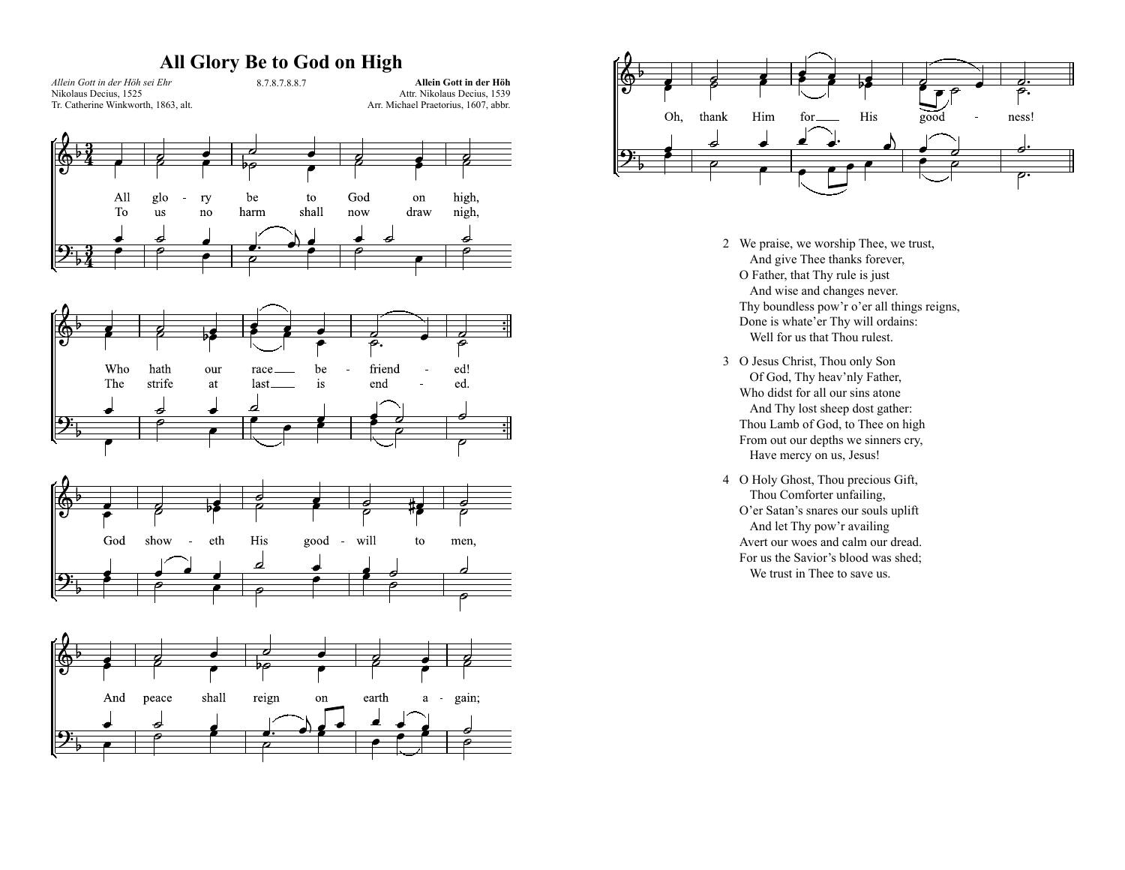## **All Glory Be to God on High**











- 2 We praise, we worship Thee, we trust, And give Thee thanks forever, O Father, that Thy rule is just And wise and changes never. Thy boundless pow'r o'er all things reigns, Done is whate'er Thy will ordains: Well for us that Thou rulest.
- 3 O Jesus Christ, Thou only Son Of God, Thy heav'nly Father, Who didst for all our sins atone And Thy lost sheep dost gather: Thou Lamb of God, to Thee on high From out our depths we sinners cry, Have mercy on us, Jesus!
- 4 O Holy Ghost, Thou precious Gift, Thou Comforter unfailing, O'er Satan's snares our souls uplift And let Thy pow'r availing Avert our woes and calm our dread. For us the Savior's blood was shed; We trust in Thee to save us.